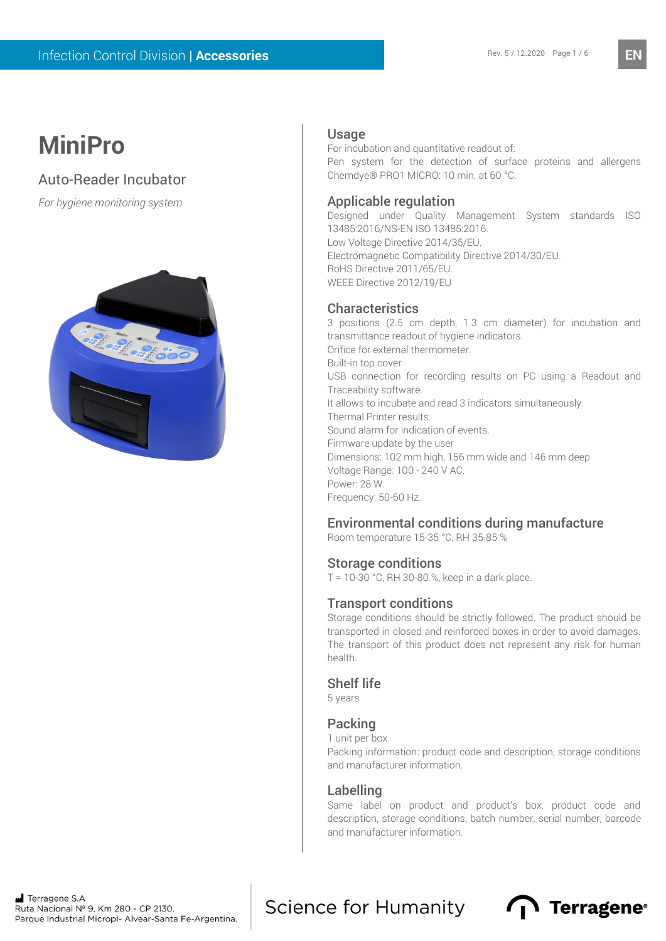**EN**

# **MiniPro**

Auto-Reader Incubator

*For hygiene monitoring system*



### Usage

For incubation and quantitative readout of: Pen system for the detection of surface proteins and allergens Chemdye® PRO1 MICRO: 10 min. at 60 °C.

## Applicable regulation

Designed under Quality Management System standards ISO 13485:2016/NS-EN ISO 13485:2016. Low Voltage Directive 2014/35/EU. Electromagnetic Compatibility Directive 2014/30/EU. RoHS Directive 2011/65/EU. WEEE Directive 2012/19/EU

# **Characteristics**

3 positions (2.5 cm depth, 1.3 cm diameter) for incubation and transmittance readout of hygiene indicators. Orifice for external thermometer. Built-in top cover USB connection for recording results on PC using a Readout and Traceability software. It allows to incubate and read 3 indicators simultaneously. Thermal Printer results. Sound alarm for indication of events. Firmware update by the user Dimensions: 102 mm high, 156 mm wide and 146 mm deep Voltage Range: 100 - 240 V AC. Power: 28 W. Frequency: 50-60 Hz.

# Environmental conditions during manufacture

Room temperature 15-35 °C, RH 35-85 %

### Storage conditions

T = 10-30 °C, RH 30-80 %, keep in a dark place.

### Transport conditions

Storage conditions should be strictly followed. The product should be transported in closed and reinforced boxes in order to avoid damages. The transport of this product does not represent any risk for human health.

### Shelf life

5 years

### Packing

1 unit per box.

Packing information: product code and description, storage conditions and manufacturer information.

### Labelling

Same label on product and product's box: product code and description, storage conditions, batch number, serial number, barcode and manufacturer information.

Science for Humanity **n** Terragene<sup>®</sup>